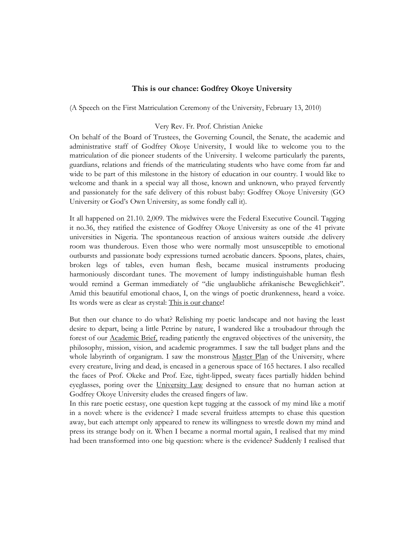## **This is our chance: Godfrey Okoye University**

(A Speech on the First Matriculation Ceremony of the University, February 13, 2010)

## Very Rev. Fr. Prof. Christian Anieke

On behalf of the Board of Trustees, the Governing Council, the Senate, the academic and administrative staff of Godfrey Okoye University, I would like to welcome you to the matriculation of die pioneer students of the University. I welcome particularly the parents, guardians, relations and friends of the matriculating students who have come from far and wide to be part of this milestone in the history of education in our country. I would like to welcome and thank in a special way all those, known and unknown, who prayed fervently and passionately for the safe delivery of this robust baby: Godfrey Okoye University (GO University or God's Own University, as some fondly call it).

It all happened on 21.10. 2,009. The midwives were the Federal Executive Council. Tagging it no.36, they ratified the existence of Godfrey Okoye University as one of the 41 private universities in Nigeria. The spontaneous reaction of anxious waiters outside .the delivery room was thunderous. Even those who were normally most unsusceptible to emotional outbursts and passionate body expressions turned acrobatic dancers. Spoons, plates, chairs, broken legs of tables, even human flesh, became musical instruments producing harmoniously discordant tunes. The movement of lumpy indistinguishable human flesh would remind a German immediately of "die unglaubliche afrikanische Beweglichkeit". Amid this beautiful emotional chaos, I, on the wings of poetic drunkenness, heard a voice. Its words were as clear as crystal: This is our chance!

But then our chance to do what? Relishing my poetic landscape and not having the least desire to depart, being a little Petrine by nature, I wandered like a troubadour through the forest of our Academic Brief, reading patiently the engraved objectives of the university, the philosophy, mission, vision, and academic programmes. I saw the tall budget plans and the whole labyrinth of organigram. I saw the monstrous Master Plan of the University, where every creature, living and dead, is encased in a generous space of 165 hectares. I also recalled the faces of Prof. Okeke and Prof. Eze, tight-lipped, sweaty faces partially hidden behind eyeglasses, poring over the University Law designed to ensure that no human action at Godfrey Okoye University eludes the creased fingers of law.

In this rare poetic ecstasy, one question kept tugging at the cassock of my mind like a motif in a novel: where is the evidence? I made several fruitless attempts to chase this question away, but each attempt only appeared to renew its willingness to wrestle down my mind and press its strange body on it. When I became a normal mortal again, I realised that my mind had been transformed into one big question: where is the evidence? Suddenly I realised that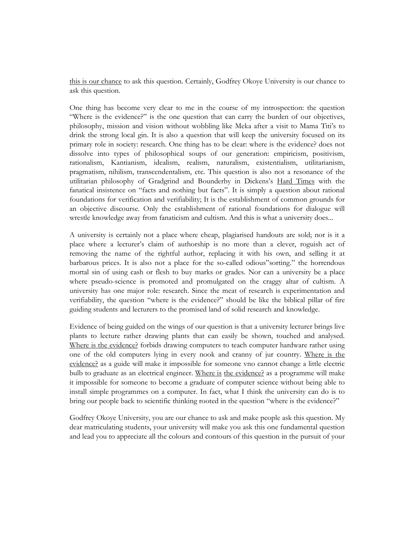this is our chance to ask this question. Certainly, Godfrey Okoye University is our chance to ask this question.

One thing has become very clear to me in the course of my introspection: the question "Where is the evidence?" is the one question that can carry the burden of our objectives, philosophy, mission and vision without wobbling like Meka after a visit to Mama Titi's to drink the strong local gin. It is also a question that will keep the university focused on its primary role in society: research. One thing has to be clear: where is the evidence? does not dissolve into types of philosophical soups of our generation: empiricism, positivism, rationalism, Kantianism, idealism, realism, naturalism, existentialism, utilitarianism, pragmatism, nihilism, transcendentalism, etc. This question is also not a resonance of the utilitarian philosophy of Gradgrind and Bounderby in Dickens's Hard Times with the fanatical insistence on "facts and nothing but facts". It is simply a question about rational foundations for verification and verifiability; It is the establishment of common grounds for an objective discourse. Only the establishment of rational foundations for dialogue will wrestle knowledge away from fanaticism and cultism. And this is what a university does...

A university is certainly not a place where cheap, plagiarised handouts are sold; nor is it a place where a lecturer's claim of authorship is no more than a clever, roguish act of removing the name of the rightful author, replacing it with his own, and selling it at barbarous prices. It is also not a place for the so-called odious"sorting." the horrendous mortal sin of using cash or flesh to buy marks or grades. Nor can a university be a place where pseudo-science is promoted and promulgated on the craggy altar of cultism. A university has one major role: research. Since the meat of research is experimentation and verifiability, the question "where is the evidence?" should be like the biblical pillar of fire guiding students and lecturers to the promised land of solid research and knowledge.

Evidence of being guided on the wings of our question is that a university lecturer brings live plants to lecture rather drawing plants that can easily be shown, touched and analysed. Where is the evidence? forbids drawing computers to teach computer hardware rather using one of the old computers lying in every nook and cranny of jur country. Where is the evidence? as a guide will make it impossible for someone vno cannot change a little electric bulb to graduate as an electrical engineer. Where is the evidence? as a programme will make it impossible for someone to become a graduate of computer science without being able to install simple programmes on a computer. In fact, what I think the university can do is to bring our people back to scientific thinking rooted in the question "where is the evidence?"

Godfrey Okoye University, you are our chance to ask and make people ask this question. My dear matriculating students, your university will make you ask this one fundamental question and lead you to appreciate all the colours and contours of this question in the pursuit of your